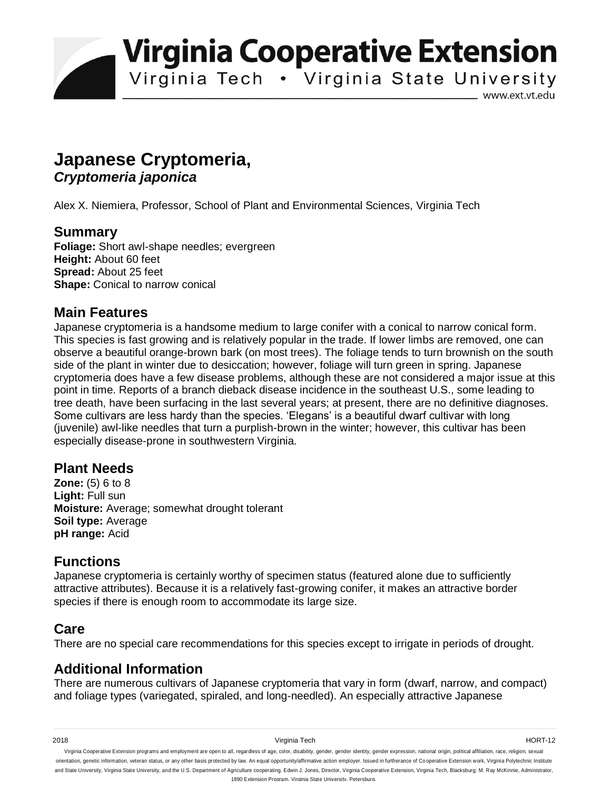**Virginia Cooperative Extension** 

Virginia Tech . Virginia State University

www.ext.vt.edu

# **Japanese Cryptomeria,**  *Cryptomeria japonica*

Alex X. Niemiera, Professor, School of Plant and Environmental Sciences, Virginia Tech

#### **Summary**

**Foliage:** Short awl-shape needles; evergreen **Height:** About 60 feet **Spread:** About 25 feet **Shape:** Conical to narrow conical

#### **Main Features**

Japanese cryptomeria is a handsome medium to large conifer with a conical to narrow conical form. This species is fast growing and is relatively popular in the trade. If lower limbs are removed, one can observe a beautiful orange-brown bark (on most trees). The foliage tends to turn brownish on the south side of the plant in winter due to desiccation; however, foliage will turn green in spring. Japanese cryptomeria does have a few disease problems, although these are not considered a major issue at this point in time. Reports of a branch dieback disease incidence in the southeast U.S., some leading to tree death, have been surfacing in the last several years; at present, there are no definitive diagnoses. Some cultivars are less hardy than the species. 'Elegans' is a beautiful dwarf cultivar with long (juvenile) awl-like needles that turn a purplish-brown in the winter; however, this cultivar has been especially disease-prone in southwestern Virginia.

## **Plant Needs**

**Zone:** (5) 6 to 8 **Light:** Full sun **Moisture:** Average; somewhat drought tolerant **Soil type:** Average **pH range:** Acid

#### **Functions**

Japanese cryptomeria is certainly worthy of specimen status (featured alone due to sufficiently attractive attributes). Because it is a relatively fast-growing conifer, it makes an attractive border species if there is enough room to accommodate its large size.

## **Care**

There are no special care recommendations for this species except to irrigate in periods of drought.

## **Additional Information**

There are numerous cultivars of Japanese cryptomeria that vary in form (dwarf, narrow, and compact) and foliage types (variegated, spiraled, and long-needled). An especially attractive Japanese

2018 Virginia Tech HORT-12

Virginia Cooperative Extension programs and employment are open to all, regardless of age, color, disability, gender, gender identity, gender expression, national origin, political affiliation, race, religion, sexual orientation, genetic information, veteran status, or any other basis protected by law. An equal opportunity/affirmative action employer. Issued in furtherance of Co operative Extension work, Virginia Polytechnic Institute and State University, Virginia State University, and the U.S. Department of Agriculture cooperating. Edwin J. Jones, Director, Virginia Cooperative Extension, Virginia Tech, Blacksburg; M. Ray McKinnie, Administrator, 1890 Extension Program, Virginia State University, Petersburg.